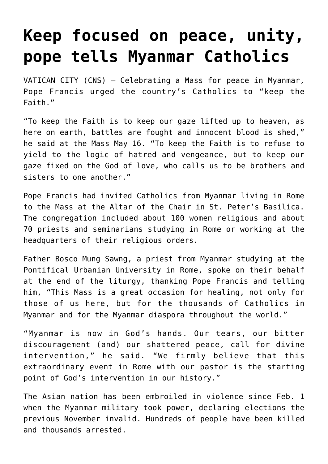## **[Keep focused on peace, unity,](https://www.osvnews.com/2021/05/17/keep-focused-on-peace-unity-pope-tells-myanmar-catholics/) [pope tells Myanmar Catholics](https://www.osvnews.com/2021/05/17/keep-focused-on-peace-unity-pope-tells-myanmar-catholics/)**

VATICAN CITY (CNS) — Celebrating a Mass for peace in Myanmar, Pope Francis urged the country's Catholics to "keep the Faith."

"To keep the Faith is to keep our gaze lifted up to heaven, as here on earth, battles are fought and innocent blood is shed," he said at the Mass May 16. "To keep the Faith is to refuse to yield to the logic of hatred and vengeance, but to keep our gaze fixed on the God of love, who calls us to be brothers and sisters to one another."

Pope Francis had invited Catholics from Myanmar living in Rome to the Mass at the Altar of the Chair in St. Peter's Basilica. The congregation included about 100 women religious and about 70 priests and seminarians studying in Rome or working at the headquarters of their religious orders.

Father Bosco Mung Sawng, a priest from Myanmar studying at the Pontifical Urbanian University in Rome, spoke on their behalf at the end of the liturgy, thanking Pope Francis and telling him, "This Mass is a great occasion for healing, not only for those of us here, but for the thousands of Catholics in Myanmar and for the Myanmar diaspora throughout the world."

"Myanmar is now in God's hands. Our tears, our bitter discouragement (and) our shattered peace, call for divine intervention," he said. "We firmly believe that this extraordinary event in Rome with our pastor is the starting point of God's intervention in our history."

The Asian nation has been embroiled in violence since Feb. 1 when the Myanmar military took power, declaring elections the previous November invalid. Hundreds of people have been killed and thousands arrested.